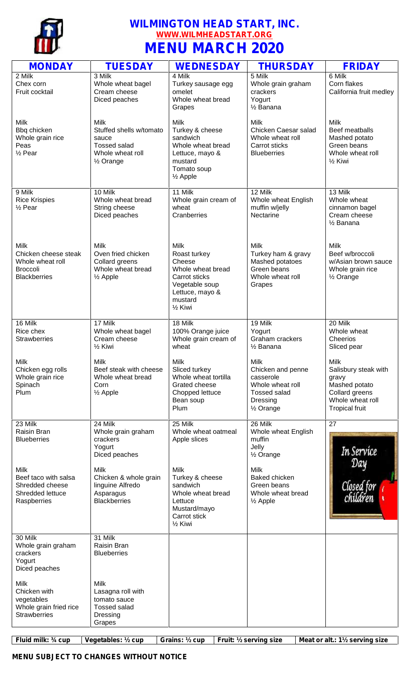

## **WILMINGTON HEAD START, INC. WWW.WILMHEADSTART.ORG MENU MARCH 2020**

| <b>MONDAY</b>                                                                                     | <b>TUESDAY</b>                                                                                                | <b>WEDNESDAY</b>                                                                                                                                    | <b>THURSDAY</b>                                                                                                       | <b>FRIDAY</b>                                                                                                                |
|---------------------------------------------------------------------------------------------------|---------------------------------------------------------------------------------------------------------------|-----------------------------------------------------------------------------------------------------------------------------------------------------|-----------------------------------------------------------------------------------------------------------------------|------------------------------------------------------------------------------------------------------------------------------|
| 2 Milk<br>Chex corn<br>Fruit cocktail                                                             | 3 Milk<br>Whole wheat bagel<br>Cream cheese<br>Diced peaches                                                  | 4 Milk<br>Turkey sausage egg<br>omelet<br>Whole wheat bread<br>Grapes                                                                               | 5 Milk<br>Whole grain graham<br>crackers<br>Yogurt<br>1/ <sub>2</sub> Banana                                          | 6 Milk<br>Corn flakes<br>California fruit medley                                                                             |
| Milk<br>Bbq chicken<br>Whole grain rice<br>Peas<br>$\frac{1}{2}$ Pear                             | Milk<br>Stuffed shells w/tomato<br>sauce<br><b>Tossed salad</b><br>Whole wheat roll<br>1/ <sub>2</sub> Orange | Milk<br>Turkey & cheese<br>sandwich<br>Whole wheat bread<br>Lettuce, mayo &<br>mustard<br>Tomato soup<br>$\frac{1}{2}$ Apple                        | <b>Milk</b><br>Chicken Caesar salad<br>Whole wheat roll<br>Carrot sticks<br><b>Blueberries</b>                        | <b>Milk</b><br>Beef meatballs<br>Mashed potato<br>Green beans<br>Whole wheat roll<br>1/ <sub>2</sub> Kiwi                    |
| 9 Milk<br><b>Rice Krispies</b><br>$\frac{1}{2}$ Pear                                              | 10 Milk<br>Whole wheat bread<br>String cheese<br>Diced peaches                                                | 11 Milk<br>Whole grain cream of<br>wheat<br>Cranberries                                                                                             | 12 Milk<br>Whole wheat English<br>muffin w/jelly<br>Nectarine                                                         | 13 Milk<br>Whole wheat<br>cinnamon bagel<br>Cream cheese<br>1/ <sub>2</sub> Banana                                           |
| <b>Milk</b><br>Chicken cheese steak<br>Whole wheat roll<br><b>Broccoli</b><br><b>Blackberries</b> | <b>Milk</b><br>Oven fried chicken<br>Collard greens<br>Whole wheat bread<br>$\frac{1}{2}$ Apple               | <b>Milk</b><br>Roast turkey<br>Cheese<br>Whole wheat bread<br>Carrot sticks<br>Vegetable soup<br>Lettuce, mayo &<br>mustard<br>1/ <sub>2</sub> Kiwi | <b>Milk</b><br>Turkey ham & gravy<br>Mashed potatoes<br>Green beans<br>Whole wheat roll<br>Grapes                     | <b>Milk</b><br>Beef w/broccoli<br>w/Asian brown sauce<br>Whole grain rice<br>1/ <sub>2</sub> Orange                          |
| 16 Milk<br>Rice chex<br><b>Strawberries</b>                                                       | 17 Milk<br>Whole wheat bagel<br>Cream cheese<br>1/ <sub>2</sub> Kiwi                                          | 18 Milk<br>100% Orange juice<br>Whole grain cream of<br>wheat                                                                                       | 19 Milk<br>Yogurt<br>Graham crackers<br>1/ <sub>2</sub> Banana                                                        | 20 Milk<br>Whole wheat<br>Cheerios<br>Sliced pear                                                                            |
| Milk<br>Chicken egg rolls<br>Whole grain rice<br>Spinach<br>Plum                                  | <b>Milk</b><br>Beef steak with cheese<br>Whole wheat bread<br>Corn<br>$\frac{1}{2}$ Apple                     | Milk<br>Sliced turkey<br>Whole wheat tortilla<br>Grated cheese<br>Chopped lettuce<br>Bean soup<br>Plum                                              | Milk<br>Chicken and penne<br>casserole<br>Whole wheat roll<br><b>Tossed salad</b><br>Dressing<br>$\frac{1}{2}$ Orange | <b>Milk</b><br>Salisbury steak with<br>gravy<br>Mashed potato<br>Collard greens<br>Whole wheat roll<br><b>Tropical fruit</b> |
| 23 Milk<br>Raisin Bran<br><b>Blueberries</b>                                                      | 24 Milk<br>Whole grain graham<br>crackers<br>Yogurt<br>Diced peaches                                          | 25 Milk<br>Whole wheat oatmeal<br>Apple slices                                                                                                      | 26 Milk<br>Whole wheat English<br>muffin<br>Jelly<br>1/ <sub>2</sub> Orange                                           | 27<br>In Service                                                                                                             |
| Milk<br>Beef taco with salsa<br>Shredded cheese<br>Shredded lettuce<br>Raspberries                | Milk<br>Chicken & whole grain<br>linguine Alfredo<br>Asparagus<br><b>Blackberries</b>                         | Milk<br>Turkey & cheese<br>sandwich<br>Whole wheat bread<br>Lettuce<br>Mustard/mayo<br>Carrot stick<br>1/ <sub>2</sub> Kiwi                         | Milk<br><b>Baked chicken</b><br>Green beans<br>Whole wheat bread<br>$\frac{1}{2}$ Apple                               | Day<br>Closed for<br>children                                                                                                |
| 30 Milk<br>Whole grain graham<br>crackers<br>Yogurt<br>Diced peaches                              | 31 Milk<br>Raisin Bran<br><b>Blueberries</b>                                                                  |                                                                                                                                                     |                                                                                                                       |                                                                                                                              |
| Milk<br>Chicken with<br>vegetables<br>Whole grain fried rice<br><b>Strawberries</b>               | Milk<br>Lasagna roll with<br>tomato sauce<br><b>Tossed salad</b><br>Dressing<br>Grapes                        |                                                                                                                                                     |                                                                                                                       |                                                                                                                              |